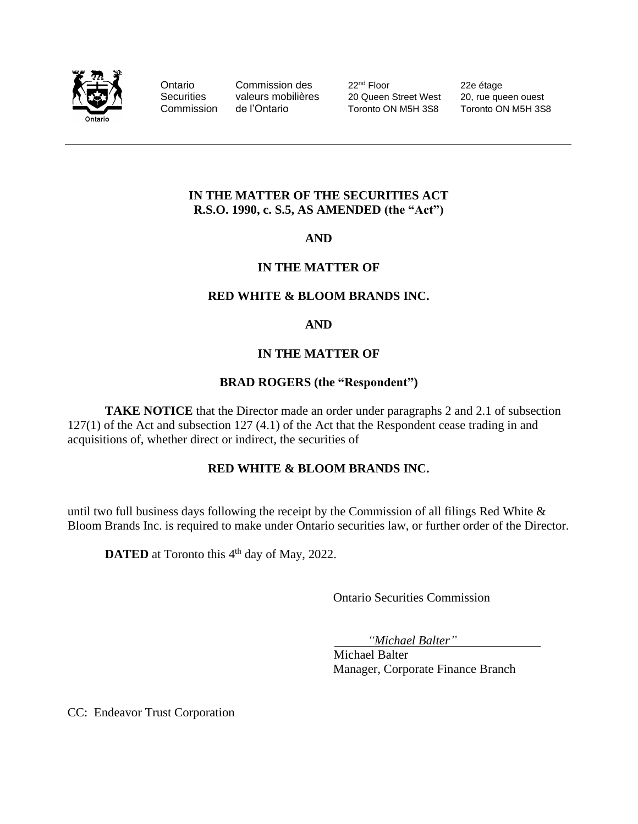

Ontario Commission des 22<sup>nd</sup> Floor 22e étage Securities valeurs mobilières 20 Queen Street West 20, rue queen ouest<br>Commission de l'Ontario Toronto ON M5H 3S8 Toronto ON M5H 3S8 Commission de l'Ontario Toronto ON M5H 3S8 Toronto ON M5H 3S8

# **IN THE MATTER OF THE SECURITIES ACT R.S.O. 1990, c. S.5, AS AMENDED (the "Act")**

**AND**

# **IN THE MATTER OF**

#### **RED WHITE & BLOOM BRANDS INC.**

#### **AND**

# **IN THE MATTER OF**

# **BRAD ROGERS (the "Respondent")**

**TAKE NOTICE** that the Director made an order under paragraphs 2 and 2.1 of subsection 127(1) of the Act and subsection 127 (4.1) of the Act that the Respondent cease trading in and acquisitions of, whether direct or indirect, the securities of

# **RED WHITE & BLOOM BRANDS INC.**

until two full business days following the receipt by the Commission of all filings Red White  $\&$ Bloom Brands Inc. is required to make under Ontario securities law, or further order of the Director.

**DATED** at Toronto this 4<sup>th</sup> day of May, 2022.

Ontario Securities Commission

*"Michael Balter"*

Michael Balter Manager, Corporate Finance Branch

CC: Endeavor Trust Corporation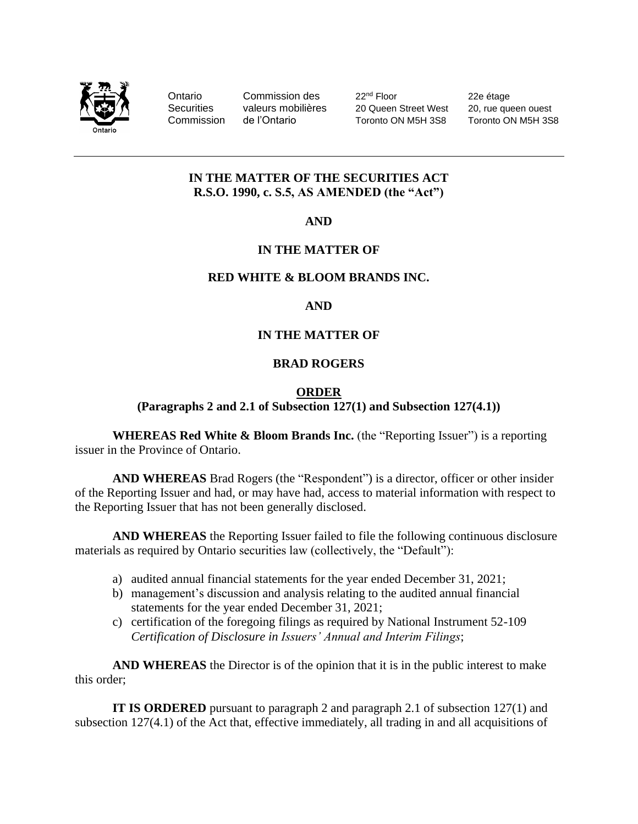

Ontario Commission des 22<sup>nd</sup> Floor 22e étage<br>Securities valeurs mobilières 20 Queen Street West 20, rue que Securities valeurs mobilières 20 Queen Street West 20, rue queen ouest Commission de l'Ontario Toronto ON M5H 3S8 Toronto ON M5H 3S8

#### **IN THE MATTER OF THE SECURITIES ACT R.S.O. 1990, c. S.5, AS AMENDED (the "Act")**

**AND**

# **IN THE MATTER OF**

# **RED WHITE & BLOOM BRANDS INC.**

# **AND**

# **IN THE MATTER OF**

# **BRAD ROGERS**

#### **ORDER**

**(Paragraphs 2 and 2.1 of Subsection 127(1) and Subsection 127(4.1))**

**WHEREAS Red White & Bloom Brands Inc.** (the "Reporting Issuer") is a reporting issuer in the Province of Ontario.

**AND WHEREAS** Brad Rogers (the "Respondent") is a director, officer or other insider of the Reporting Issuer and had, or may have had, access to material information with respect to the Reporting Issuer that has not been generally disclosed.

**AND WHEREAS** the Reporting Issuer failed to file the following continuous disclosure materials as required by Ontario securities law (collectively, the "Default"):

- a) audited annual financial statements for the year ended December 31, 2021;
- b) management's discussion and analysis relating to the audited annual financial statements for the year ended December 31, 2021;
- c) certification of the foregoing filings as required by National Instrument 52-109 *Certification of Disclosure in Issuers' Annual and Interim Filings*;

**AND WHEREAS** the Director is of the opinion that it is in the public interest to make this order;

**IT IS ORDERED** pursuant to paragraph 2 and paragraph 2.1 of subsection 127(1) and subsection 127(4.1) of the Act that, effective immediately, all trading in and all acquisitions of